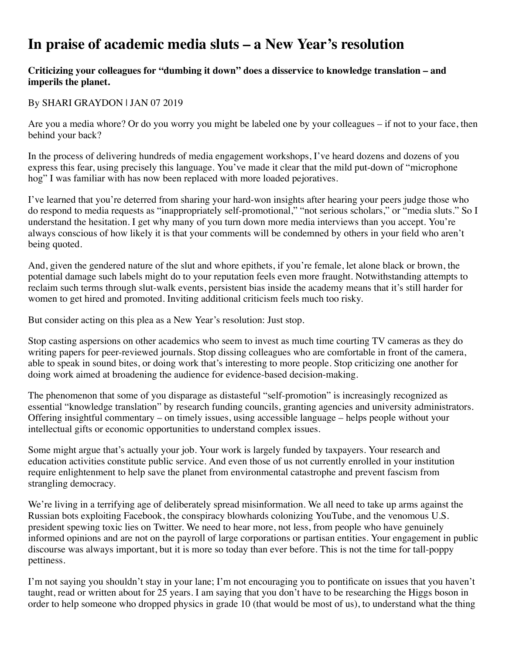## **In praise of academic media sluts – a New Year's resolution**

## **Criticizing your colleagues for "dumbing it down" does a disservice to knowledge translation – and imperils the planet.**

## By SHARI GRAYDON | JAN 07 2019

Are you a media whore? Or do you worry you might be labeled one by your colleagues – if not to your face, then behind your back?

In the process of delivering hundreds of media engagement workshops, I've heard dozens and dozens of you express this fear, using precisely this language. You've made it clear that the mild put-down of "microphone hog" I was familiar with has now been replaced with more loaded pejoratives.

I've learned that you're deterred from sharing your hard-won insights after hearing your peers judge those who do respond to media requests as "inappropriately self-promotional," "not serious scholars," or "media sluts." So I understand the hesitation. I get why many of you turn down more media interviews than you accept. You're always conscious of how likely it is that your comments will be condemned by others in your field who aren't being quoted.

And, given the gendered nature of the slut and whore epithets, if you're female, let alone black or brown, the potential damage such labels might do to your reputation feels even more fraught. Notwithstanding attempts to reclaim such terms through slut-walk events, persistent bias inside the academy means that it's still harder for women to get hired and promoted. Inviting additional criticism feels much too risky.

But consider acting on this plea as a New Year's resolution: Just stop.

Stop casting aspersions on other academics who seem to invest as much time courting TV cameras as they do writing papers for peer-reviewed journals. Stop dissing colleagues who are comfortable in front of the camera, able to speak in sound bites, or doing work that's interesting to more people. Stop criticizing one another for doing work aimed at broadening the audience for evidence-based decision-making.

The phenomenon that some of you disparage as distasteful "self-promotion" is increasingly recognized as essential "knowledge translation" by research funding councils, granting agencies and university administrators. Offering insightful commentary – on timely issues, using accessible language – helps people without your intellectual gifts or economic opportunities to understand complex issues.

Some might argue that's actually your job. Your work is largely funded by taxpayers. Your research and education activities constitute public service. And even those of us not currently enrolled in your institution require enlightenment to help save the planet from environmental catastrophe and prevent fascism from strangling democracy.

We're living in a terrifying age of deliberately spread misinformation. We all need to take up arms against the Russian bots exploiting Facebook, the conspiracy blowhards colonizing YouTube, and the venomous U.S. president spewing toxic lies on Twitter. We need to hear more, not less, from people who have genuinely informed opinions and are not on the payroll of large corporations or partisan entities. Your engagement in public discourse was always important, but it is more so today than ever before. This is not the time for tall-poppy pettiness.

I'm not saying you shouldn't stay in your lane; I'm not encouraging you to pontificate on issues that you haven't taught, read or written about for 25 years. I am saying that you don't have to be researching the Higgs boson in order to help someone who dropped physics in grade 10 (that would be most of us), to understand what the thing